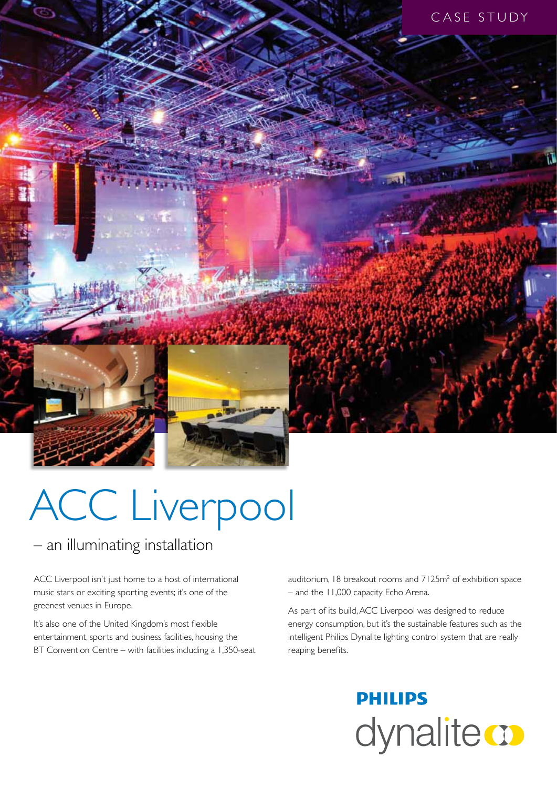

# ACC Liverpool

### – an illuminating installation

ACC Liverpool isn't just home to a host of international music stars or exciting sporting events; it's one of the greenest venues in Europe.

It's also one of the United Kingdom's most flexible entertainment, sports and business facilities, housing the BT Convention Centre – with facilities including a 1,350-seat

auditorium, 18 breakout rooms and  $7125m<sup>2</sup>$  of exhibition space – and the 11,000 capacity Echo Arena.

As part of its build, ACC Liverpool was designed to reduce energy consumption, but it's the sustainable features such as the intelligent Philips Dynalite lighting control system that are really reaping benefits.

## **PHILIPS** dynalite **o**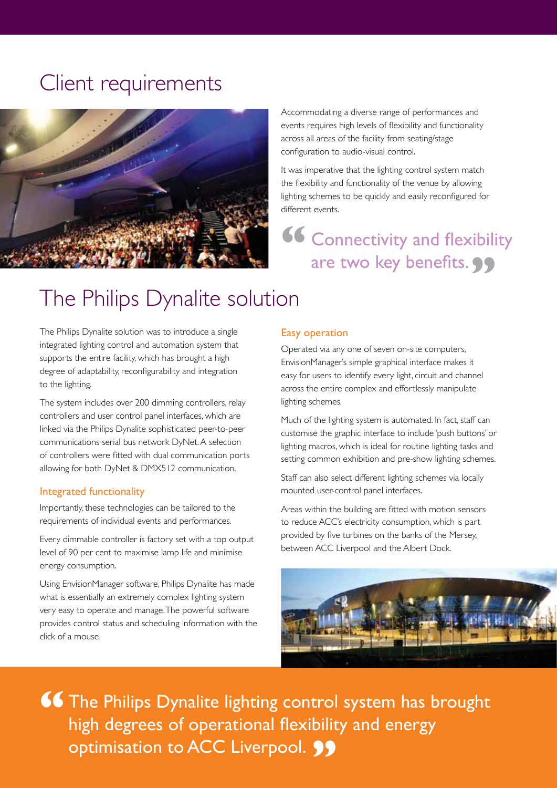## Client requirements



Accommodating a diverse range of performances and events requires high levels of flexibility and functionality across all areas of the facility from seating/stage configuration to audio-visual control.

It was imperative that the lighting control system match the flexibility and functionality of the venue by allowing lighting schemes to be quickly and easily reconfigured for different events.

**66 Connectivity and flexibility** are two key benefits. **99** 

## The Philips Dynalite solution

The Philips Dynalite solution was to introduce a single integrated lighting control and automation system that supports the entire facility, which has brought a high degree of adaptability, reconfigurability and integration to the lighting.

The system includes over 200 dimming controllers, relay controllers and user control panel interfaces, which are linked via the Philips Dynalite sophisticated peer-to-peer communications serial bus network DyNet. A selection of controllers were fitted with dual communication ports allowing for both DyNet & DMX512 communication.

#### Integrated functionality

Importantly, these technologies can be tailored to the requirements of individual events and performances.

Every dimmable controller is factory set with a top output level of 90 per cent to maximise lamp life and minimise energy consumption.

Using EnvisionManager software, Philips Dynalite has made what is essentially an extremely complex lighting system very easy to operate and manage. The powerful software provides control status and scheduling information with the click of a mouse.

#### Easy operation

Operated via any one of seven on-site computers, EnvisionManager's simple graphical interface makes it easy for users to identify every light, circuit and channel across the entire complex and effortlessly manipulate lighting schemes.

Much of the lighting system is automated. In fact, staff can customise the graphic interface to include 'push buttons' or lighting macros, which is ideal for routine lighting tasks and setting common exhibition and pre-show lighting schemes.

Staff can also select different lighting schemes via locally mounted user-control panel interfaces.

Areas within the building are fitted with motion sensors to reduce ACC's electricity consumption, which is part provided by five turbines on the banks of the Mersey, between ACC Liverpool and the Albert Dock.



**66** The Philips Dynalite lighting control system has brought high degrees of operational flexibility and energy high degrees of operational flexibility and energy optimisation to ACC Liverpool. **99**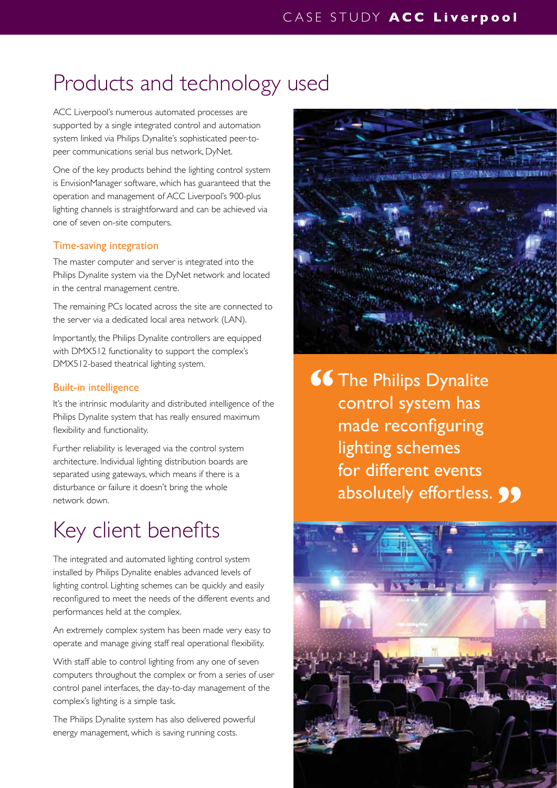## Products and technology used

ACC Liverpool's numerous automated processes are supported by a single integrated control and automation system linked via Philips Dynalite's sophisticated peer-topeer communications serial bus network, DyNet.

One of the key products behind the lighting control system is EnvisionManager software, which has guaranteed that the operation and management of ACC Liverpool's 900-plus lighting channels is straightforward and can be achieved via one of seven on-site computers.

#### Time-saving integration

The master computer and server is integrated into the Philips Dynalite system via the DyNet network and located in the central management centre.

The remaining PCs located across the site are connected to the server via a dedicated local area network (LAN).

Importantly, the Philips Dynalite controllers are equipped with DMX512 functionality to support the complex's DMX512-based theatrical lighting system.

#### Built-in intelligence

It's the intrinsic modularity and distributed intelligence of the Philips Dynalite system that has really ensured maximum flexibility and functionality.

Further reliability is leveraged via the control system architecture. Individual lighting distribution boards are separated using gateways, which means if there is a disturbance or failure it doesn't bring the whole network down.

## Key client benefits

The integrated and automated lighting control system installed by Philips Dynalite enables advanced levels of lighting control. Lighting schemes can be quickly and easily reconfigured to meet the needs of the different events and performances held at the complex.

An extremely complex system has been made very easy to operate and manage giving staff real operational flexibility.

With staff able to control lighting from any one of seven computers throughout the complex or from a series of user control panel interfaces, the day-to-day management of the complex's lighting is a simple task.

The Philips Dynalite system has also delivered powerful energy management, which is saving running costs.



**66** The Philips Dynalite<br>
control system has control system has made reconfiguring lighting schemes for different events absolutely effortless. **99**